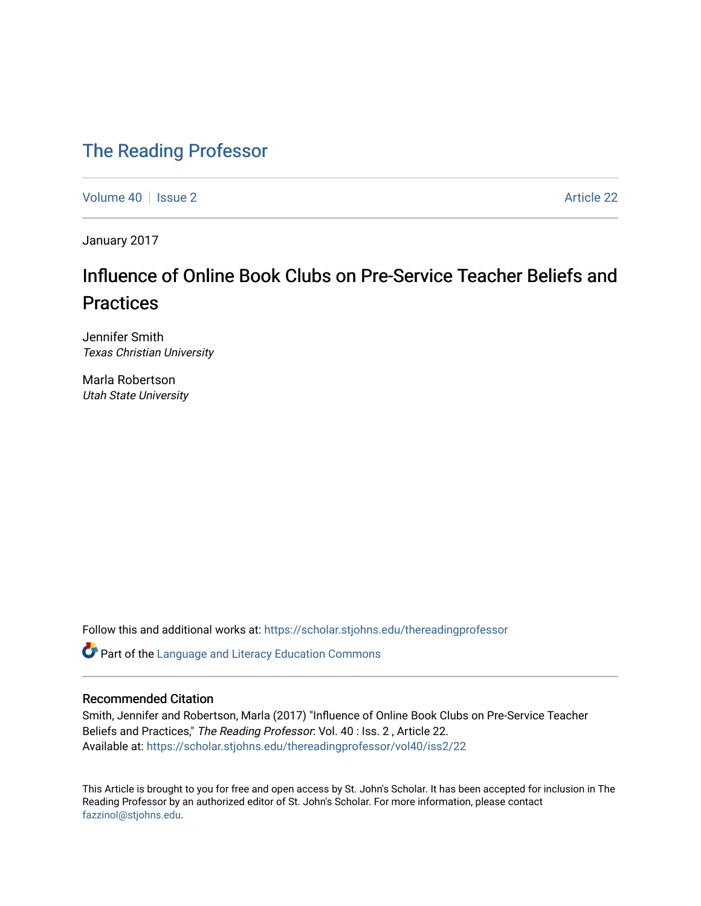### [The Reading Professor](https://scholar.stjohns.edu/thereadingprofessor)

[Volume 40](https://scholar.stjohns.edu/thereadingprofessor/vol40) | [Issue 2](https://scholar.stjohns.edu/thereadingprofessor/vol40/iss2) Article 22

January 2017

## Influence of Online Book Clubs on Pre-Service Teacher Beliefs and **Practices**

Jennifer Smith Texas Christian University

Marla Robertson Utah State University

Follow this and additional works at: [https://scholar.stjohns.edu/thereadingprofessor](https://scholar.stjohns.edu/thereadingprofessor?utm_source=scholar.stjohns.edu%2Fthereadingprofessor%2Fvol40%2Fiss2%2F22&utm_medium=PDF&utm_campaign=PDFCoverPages) 

Part of the [Language and Literacy Education Commons](http://network.bepress.com/hgg/discipline/1380?utm_source=scholar.stjohns.edu%2Fthereadingprofessor%2Fvol40%2Fiss2%2F22&utm_medium=PDF&utm_campaign=PDFCoverPages) 

#### Recommended Citation

Smith, Jennifer and Robertson, Marla (2017) "Influence of Online Book Clubs on Pre-Service Teacher Beliefs and Practices," The Reading Professor: Vol. 40 : Iss. 2 , Article 22. Available at: [https://scholar.stjohns.edu/thereadingprofessor/vol40/iss2/22](https://scholar.stjohns.edu/thereadingprofessor/vol40/iss2/22?utm_source=scholar.stjohns.edu%2Fthereadingprofessor%2Fvol40%2Fiss2%2F22&utm_medium=PDF&utm_campaign=PDFCoverPages)

This Article is brought to you for free and open access by St. John's Scholar. It has been accepted for inclusion in The Reading Professor by an authorized editor of St. John's Scholar. For more information, please contact [fazzinol@stjohns.edu](mailto:fazzinol@stjohns.edu).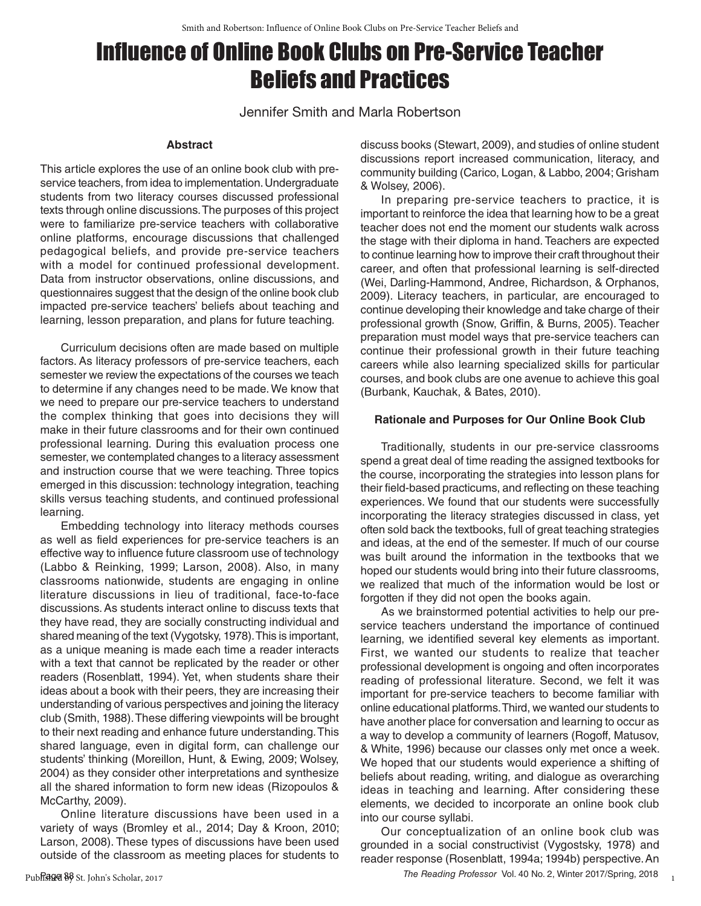# Infuence of Online Book Clubs on Pre-Service Teacher Beliefs and Practices

Jennifer Smith and Marla Robertson

#### **Abstract**

This article explores the use of an online book club with preservice teachers, from idea to implementation. Undergraduate students from two literacy courses discussed professional texts through online discussions. The purposes of this project were to familiarize pre-service teachers with collaborative online platforms, encourage discussions that challenged pedagogical beliefs, and provide pre-service teachers with a model for continued professional development. Data from instructor observations, online discussions, and questionnaires suggest that the design of the online book club impacted pre-service teachers' beliefs about teaching and learning, lesson preparation, and plans for future teaching.

Curriculum decisions often are made based on multiple factors. As literacy professors of pre-service teachers, each semester we review the expectations of the courses we teach to determine if any changes need to be made. We know that we need to prepare our pre-service teachers to understand the complex thinking that goes into decisions they will make in their future classrooms and for their own continued professional learning. During this evaluation process one semester, we contemplated changes to a literacy assessment and instruction course that we were teaching. Three topics emerged in this discussion: technology integration, teaching skills versus teaching students, and continued professional learning.

Embedding technology into literacy methods courses as well as field experiences for pre-service teachers is an effective way to influence future classroom use of technology (Labbo & Reinking, 1999; Larson, 2008). Also, in many classrooms nationwide, students are engaging in online literature discussions in lieu of traditional, face-to-face discussions. As students interact online to discuss texts that they have read, they are socially constructing individual and shared meaning of the text (Vygotsky, 1978). This is important, as a unique meaning is made each time a reader interacts with a text that cannot be replicated by the reader or other readers (Rosenblatt, 1994). Yet, when students share their ideas about a book with their peers, they are increasing their understanding of various perspectives and joining the literacy club (Smith, 1988). These differing viewpoints will be brought to their next reading and enhance future understanding. This shared language, even in digital form, can challenge our students' thinking (Moreillon, Hunt, & Ewing, 2009; Wolsey, 2004) as they consider other interpretations and synthesize all the shared information to form new ideas (Rizopoulos & McCarthy, 2009).

Online literature discussions have been used in a variety of ways (Bromley et al., 2014; Day & Kroon, 2010; Larson, 2008). These types of discussions have been used outside of the classroom as meeting places for students to

Published B8 St. John's Scholar, 2017

discuss books (Stewart, 2009), and studies of online student discussions report increased communication, literacy, and community building (Carico, Logan, & Labbo, 2004; Grisham & Wolsey, 2006).

In preparing pre-service teachers to practice, it is important to reinforce the idea that learning how to be a great teacher does not end the moment our students walk across the stage with their diploma in hand. Teachers are expected to continue learning how to improve their craft throughout their career, and often that professional learning is self-directed (Wei, Darling-Hammond, Andree, Richardson, & Orphanos, 2009). Literacy teachers, in particular, are encouraged to continue developing their knowledge and take charge of their professional growth (Snow, Griffin, & Burns, 2005). Teacher preparation must model ways that pre-service teachers can continue their professional growth in their future teaching careers while also learning specialized skills for particular courses, and book clubs are one avenue to achieve this goal (Burbank, Kauchak, & Bates, 2010).

#### **Rationale and Purposes for Our Online Book Club**

Traditionally, students in our pre-service classrooms spend a great deal of time reading the assigned textbooks for the course, incorporating the strategies into lesson plans for their field-based practicums, and reflecting on these teaching experiences. We found that our students were successfully incorporating the literacy strategies discussed in class, yet often sold back the textbooks, full of great teaching strategies and ideas, at the end of the semester. If much of our course was built around the information in the textbooks that we hoped our students would bring into their future classrooms, we realized that much of the information would be lost or forgotten if they did not open the books again.

As we brainstormed potential activities to help our preservice teachers understand the importance of continued learning, we identified several key elements as important. First, we wanted our students to realize that teacher professional development is ongoing and often incorporates reading of professional literature. Second, we felt it was important for pre-service teachers to become familiar with online educational platforms. Third, we wanted our students to have another place for conversation and learning to occur as a way to develop a community of learners (Rogoff, Matusov, & White, 1996) because our classes only met once a week. We hoped that our students would experience a shifting of beliefs about reading, writing, and dialogue as overarching ideas in teaching and learning. After considering these elements, we decided to incorporate an online book club into our course syllabi.

Our conceptualization of an online book club was grounded in a social constructivist (Vygostsky, 1978) and reader response (Rosenblatt, 1994a; 1994b) perspective. An

1

Page 38 *The Reading Professor* Vol. 40 No. 2, Winter 2017/Spring, 2018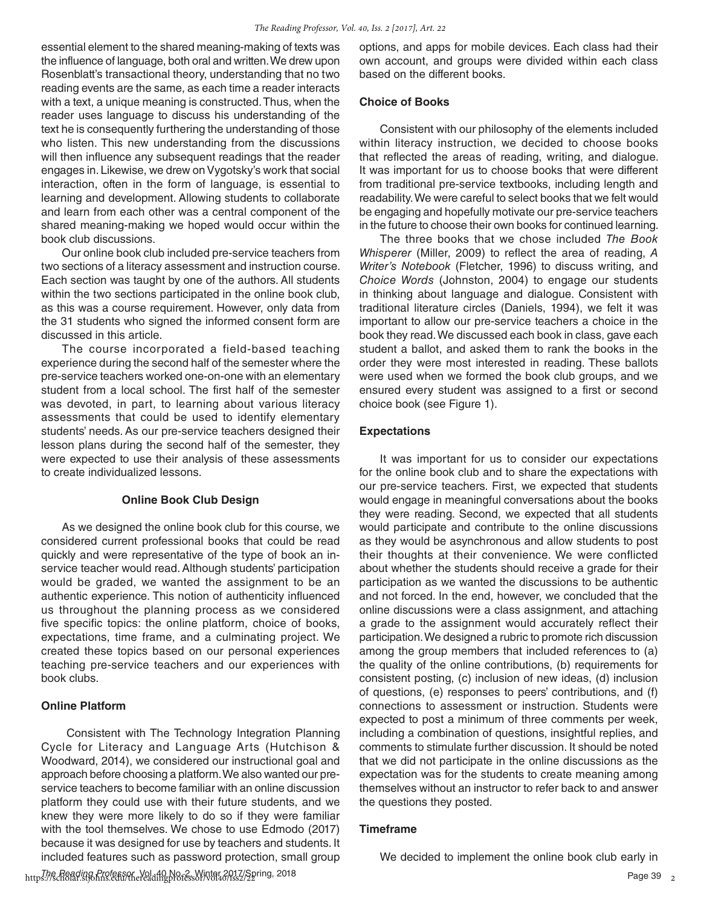essential element to the shared meaning-making of texts was the influence of language, both oral and written. We drew upon Rosenblatt's transactional theory, understanding that no two reading events are the same, as each time a reader interacts with a text, a unique meaning is constructed. Thus, when the reader uses language to discuss his understanding of the text he is consequently furthering the understanding of those who listen. This new understanding from the discussions will then influence any subsequent readings that the reader engages in. Likewise, we drew on Vygotsky's work that social interaction, often in the form of language, is essential to learning and development. Allowing students to collaborate and learn from each other was a central component of the shared meaning-making we hoped would occur within the book club discussions.

Our online book club included pre-service teachers from two sections of a literacy assessment and instruction course. Each section was taught by one of the authors. All students within the two sections participated in the online book club, as this was a course requirement. However, only data from the 31 students who signed the informed consent form are discussed in this article.

The course incorporated a field-based teaching experience during the second half of the semester where the pre-service teachers worked one-on-one with an elementary student from a local school. The first half of the semester was devoted, in part, to learning about various literacy assessments that could be used to identify elementary students' needs. As our pre-service teachers designed their lesson plans during the second half of the semester, they were expected to use their analysis of these assessments to create individualized lessons.

#### **Online Book Club Design**

As we designed the online book club for this course, we considered current professional books that could be read quickly and were representative of the type of book an inservice teacher would read. Although students' participation would be graded, we wanted the assignment to be an authentic experience. This notion of authenticity influenced us throughout the planning process as we considered five specific topics: the online platform, choice of books, expectations, time frame, and a culminating project. We created these topics based on our personal experiences teaching pre-service teachers and our experiences with book clubs.

#### **Online Platform**

Consistent with The Technology Integration Planning Cycle for Literacy and Language Arts (Hutchison & Woodward, 2014), we considered our instructional goal and approach before choosing a platform. We also wanted our preservice teachers to become familiar with an online discussion platform they could use with their future students, and we knew they were more likely to do so if they were familiar with the tool themselves. We chose to use Edmodo (2017) because it was designed for use by teachers and students. It included features such as password protection, small group

https://scholar.org/col.arc/col.arc/vol.40 No. 2, Winter 2017/Spring, 2018<br>https://scholar.stjohns.edu/thereadingprofessor/vol40/iss2/22

options, and apps for mobile devices. Each class had their own account, and groups were divided within each class based on the different books.

#### **Choice of Books**

Consistent with our philosophy of the elements included within literacy instruction, we decided to choose books that reflected the areas of reading, writing, and dialogue. It was important for us to choose books that were different from traditional pre-service textbooks, including length and readability. We were careful to select books that we felt would be engaging and hopefully motivate our pre-service teachers in the future to choose their own books for continued learning.

The three books that we chose included *The Book Whisperer* (Miller, 2009) to reflect the area of reading, *A Writer's Notebook* (Fletcher, 1996) to discuss writing, and *Choice Words* (Johnston, 2004) to engage our students in thinking about language and dialogue. Consistent with traditional literature circles (Daniels, 1994), we felt it was important to allow our pre-service teachers a choice in the book they read. We discussed each book in class, gave each student a ballot, and asked them to rank the books in the order they were most interested in reading. These ballots were used when we formed the book club groups, and we ensured every student was assigned to a first or second choice book (see Figure 1).

#### **Expectations**

It was important for us to consider our expectations for the online book club and to share the expectations with our pre-service teachers. First, we expected that students would engage in meaningful conversations about the books they were reading. Second, we expected that all students would participate and contribute to the online discussions as they would be asynchronous and allow students to post their thoughts at their convenience. We were conflicted about whether the students should receive a grade for their participation as we wanted the discussions to be authentic and not forced. In the end, however, we concluded that the online discussions were a class assignment, and attaching a grade to the assignment would accurately reflect their participation. We designed a rubric to promote rich discussion among the group members that included references to (a) the quality of the online contributions, (b) requirements for consistent posting, (c) inclusion of new ideas, (d) inclusion of questions, (e) responses to peers' contributions, and (f) connections to assessment or instruction. Students were expected to post a minimum of three comments per week, including a combination of questions, insightful replies, and comments to stimulate further discussion. It should be noted that we did not participate in the online discussions as the expectation was for the students to create meaning among themselves without an instructor to refer back to and answer the questions they posted.

#### **Timeframe**

We decided to implement the online book club early in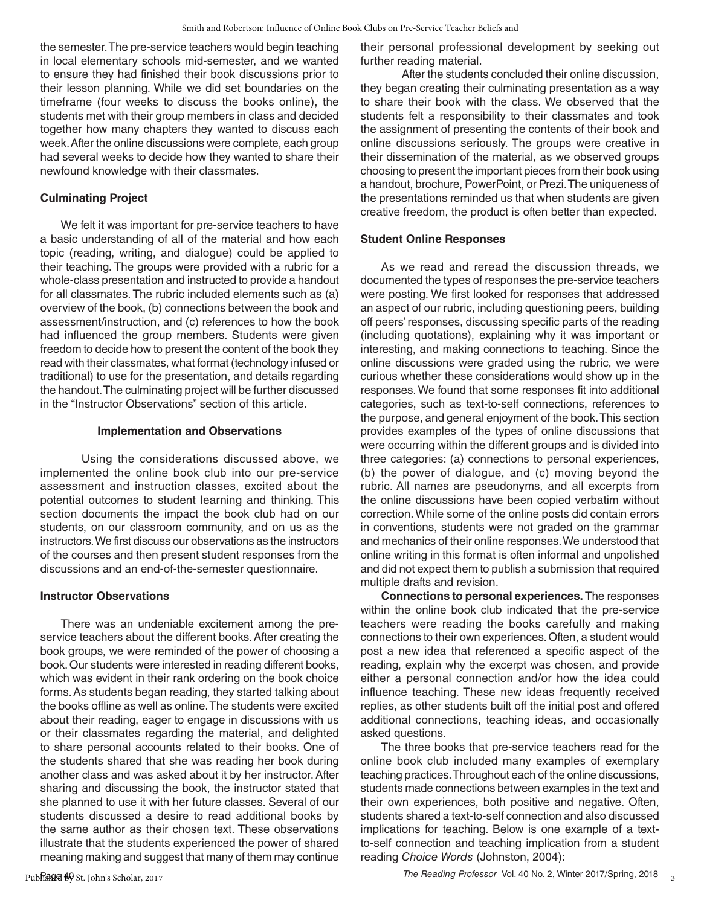the semester. The pre-service teachers would begin teaching in local elementary schools mid-semester, and we wanted to ensure they had finished their book discussions prior to their lesson planning. While we did set boundaries on the timeframe (four weeks to discuss the books online), the students met with their group members in class and decided together how many chapters they wanted to discuss each week. After the online discussions were complete, each group had several weeks to decide how they wanted to share their newfound knowledge with their classmates.

#### **Culminating Project**

We felt it was important for pre-service teachers to have a basic understanding of all of the material and how each topic (reading, writing, and dialogue) could be applied to their teaching. The groups were provided with a rubric for a whole-class presentation and instructed to provide a handout for all classmates. The rubric included elements such as (a) overview of the book, (b) connections between the book and assessment/instruction, and (c) references to how the book had influenced the group members. Students were given freedom to decide how to present the content of the book they read with their classmates, what format (technology infused or traditional) to use for the presentation, and details regarding the handout. The culminating project will be further discussed in the "Instructor Observations" section of this article.

#### **Implementation and Observations**

Using the considerations discussed above, we implemented the online book club into our pre-service assessment and instruction classes, excited about the potential outcomes to student learning and thinking. This section documents the impact the book club had on our students, on our classroom community, and on us as the instructors. We first discuss our observations as the instructors of the courses and then present student responses from the discussions and an end-of-the-semester questionnaire.

#### **Instructor Observations**

There was an undeniable excitement among the preservice teachers about the different books. After creating the book groups, we were reminded of the power of choosing a book. Our students were interested in reading different books, which was evident in their rank ordering on the book choice forms. As students began reading, they started talking about the books offline as well as online. The students were excited about their reading, eager to engage in discussions with us or their classmates regarding the material, and delighted to share personal accounts related to their books. One of the students shared that she was reading her book during another class and was asked about it by her instructor. After sharing and discussing the book, the instructor stated that she planned to use it with her future classes. Several of our students discussed a desire to read additional books by the same author as their chosen text. These observations illustrate that the students experienced the power of shared meaning making and suggest that many of them may continue their personal professional development by seeking out further reading material.

After the students concluded their online discussion, they began creating their culminating presentation as a way to share their book with the class. We observed that the students felt a responsibility to their classmates and took the assignment of presenting the contents of their book and online discussions seriously. The groups were creative in their dissemination of the material, as we observed groups choosing to present the important pieces from their book using a handout, brochure, PowerPoint, or Prezi. The uniqueness of the presentations reminded us that when students are given creative freedom, the product is often better than expected.

#### **Student Online Responses**

As we read and reread the discussion threads, we documented the types of responses the pre-service teachers were posting. We first looked for responses that addressed an aspect of our rubric, including questioning peers, building off peers' responses, discussing specific parts of the reading (including quotations), explaining why it was important or interesting, and making connections to teaching. Since the online discussions were graded using the rubric, we were curious whether these considerations would show up in the responses. We found that some responses fit into additional categories, such as text-to-self connections, references to the purpose, and general enjoyment of the book. This section provides examples of the types of online discussions that were occurring within the different groups and is divided into three categories: (a) connections to personal experiences, (b) the power of dialogue, and (c) moving beyond the rubric. All names are pseudonyms, and all excerpts from the online discussions have been copied verbatim without correction. While some of the online posts did contain errors in conventions, students were not graded on the grammar and mechanics of their online responses. We understood that online writing in this format is often informal and unpolished and did not expect them to publish a submission that required multiple drafts and revision.

**Connections to personal experiences.** The responses within the online book club indicated that the pre-service teachers were reading the books carefully and making connections to their own experiences. Often, a student would post a new idea that referenced a specific aspect of the reading, explain why the excerpt was chosen, and provide either a personal connection and/or how the idea could influence teaching. These new ideas frequently received replies, as other students built off the initial post and offered additional connections, teaching ideas, and occasionally asked questions.

The three books that pre-service teachers read for the online book club included many examples of exemplary teaching practices. Throughout each of the online discussions, students made connections between examples in the text and their own experiences, both positive and negative. Often, students shared a text-to-self connection and also discussed implications for teaching. Below is one example of a textto-self connection and teaching implication from a student reading *Choice Words* (Johnston, 2004):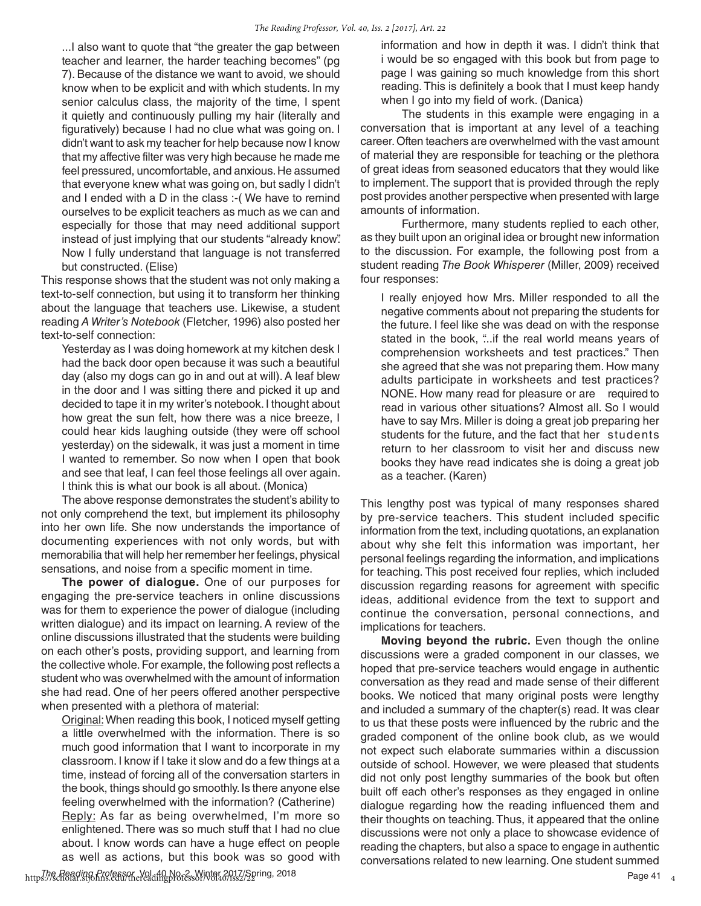...I also want to quote that "the greater the gap between teacher and learner, the harder teaching becomes" (pg 7). Because of the distance we want to avoid, we should know when to be explicit and with which students. In my senior calculus class, the majority of the time, I spent it quietly and continuously pulling my hair (literally and figuratively) because I had no clue what was going on. I didn't want to ask my teacher for help because now I know that my affective filter was very high because he made me feel pressured, uncomfortable, and anxious. He assumed that everyone knew what was going on, but sadly I didn't and I ended with a D in the class :-( We have to remind ourselves to be explicit teachers as much as we can and especially for those that may need additional support instead of just implying that our students "already know". Now I fully understand that language is not transferred but constructed. (Elise)

This response shows that the student was not only making a text-to-self connection, but using it to transform her thinking about the language that teachers use. Likewise, a student reading *A Writer's Notebook* (Fletcher, 1996) also posted her text-to-self connection:

Yesterday as I was doing homework at my kitchen desk I had the back door open because it was such a beautiful day (also my dogs can go in and out at will). A leaf blew in the door and I was sitting there and picked it up and decided to tape it in my writer's notebook. I thought about how great the sun felt, how there was a nice breeze, I could hear kids laughing outside (they were off school yesterday) on the sidewalk, it was just a moment in time I wanted to remember. So now when I open that book and see that leaf, I can feel those feelings all over again. I think this is what our book is all about. (Monica)

The above response demonstrates the student's ability to not only comprehend the text, but implement its philosophy into her own life. She now understands the importance of documenting experiences with not only words, but with memorabilia that will help her remember her feelings, physical sensations, and noise from a specific moment in time.

**The power of dialogue.** One of our purposes for engaging the pre-service teachers in online discussions was for them to experience the power of dialogue (including written dialogue) and its impact on learning. A review of the online discussions illustrated that the students were building on each other's posts, providing support, and learning from the collective whole. For example, the following post reflects a student who was overwhelmed with the amount of information she had read. One of her peers offered another perspective when presented with a plethora of material:

Original: When reading this book, I noticed myself getting a little overwhelmed with the information. There is so much good information that I want to incorporate in my classroom. I know if I take it slow and do a few things at a time, instead of forcing all of the conversation starters in the book, things should go smoothly. Is there anyone else feeling overwhelmed with the information? (Catherine) Reply: As far as being overwhelmed, I'm more so enlightened. There was so much stuff that I had no clue about. I know words can have a huge effect on people as well as actions, but this book was so good with

information and how in depth it was. I didn't think that i would be so engaged with this book but from page to page I was gaining so much knowledge from this short reading. This is definitely a book that I must keep handy when I go into my field of work. (Danica)

The students in this example were engaging in a conversation that is important at any level of a teaching career. Often teachers are overwhelmed with the vast amount of material they are responsible for teaching or the plethora of great ideas from seasoned educators that they would like to implement. The support that is provided through the reply post provides another perspective when presented with large amounts of information.

Furthermore, many students replied to each other, as they built upon an original idea or brought new information to the discussion. For example, the following post from a student reading *The Book Whisperer* (Miller, 2009) received four responses:

I really enjoyed how Mrs. Miller responded to all the negative comments about not preparing the students for the future. I feel like she was dead on with the response stated in the book, "...if the real world means years of comprehension worksheets and test practices." Then she agreed that she was not preparing them. How many adults participate in worksheets and test practices? NONE. How many read for pleasure or are required to read in various other situations? Almost all. So I would have to say Mrs. Miller is doing a great job preparing her students for the future, and the fact that her students return to her classroom to visit her and discuss new books they have read indicates she is doing a great job as a teacher. (Karen)

This lengthy post was typical of many responses shared by pre-service teachers. This student included specific information from the text, including quotations, an explanation about why she felt this information was important, her personal feelings regarding the information, and implications for teaching. This post received four replies, which included discussion regarding reasons for agreement with specific ideas, additional evidence from the text to support and continue the conversation, personal connections, and implications for teachers.

**Moving beyond the rubric.** Even though the online discussions were a graded component in our classes, we hoped that pre-service teachers would engage in authentic conversation as they read and made sense of their different books. We noticed that many original posts were lengthy and included a summary of the chapter(s) read. It was clear to us that these posts were influenced by the rubric and the graded component of the online book club, as we would not expect such elaborate summaries within a discussion outside of school. However, we were pleased that students did not only post lengthy summaries of the book but often built off each other's responses as they engaged in online dialogue regarding how the reading influenced them and their thoughts on teaching. Thus, it appeared that the online discussions were not only a place to showcase evidence of reading the chapters, but also a space to engage in authentic conversations related to new learning. One student summed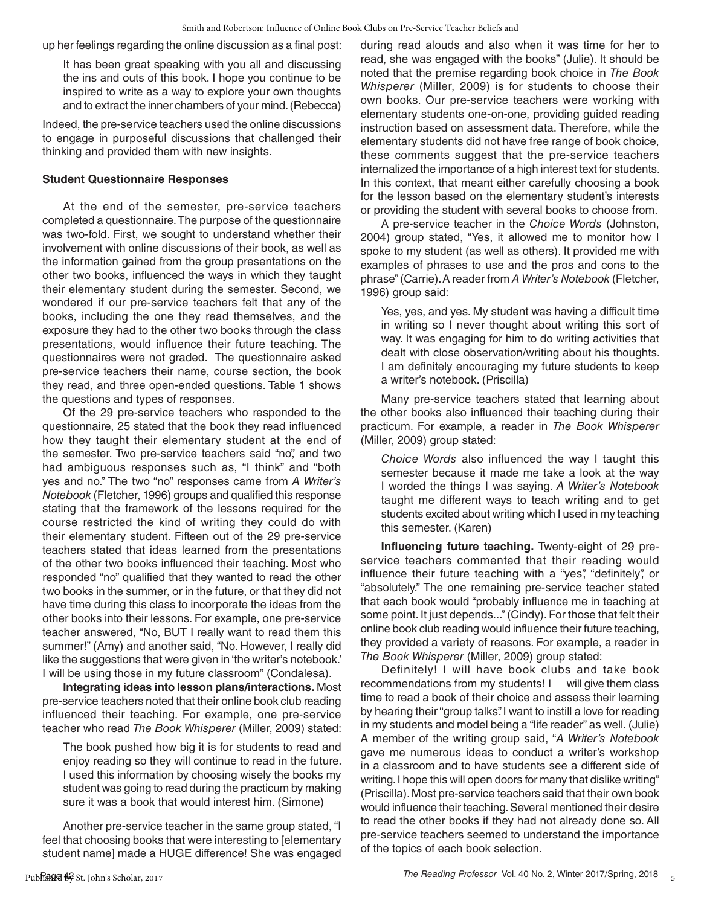up her feelings regarding the online discussion as a final post:

It has been great speaking with you all and discussing the ins and outs of this book. I hope you continue to be inspired to write as a way to explore your own thoughts and to extract the inner chambers of your mind. (Rebecca)

Indeed, the pre-service teachers used the online discussions to engage in purposeful discussions that challenged their thinking and provided them with new insights.

#### **Student Questionnaire Responses**

At the end of the semester, pre-service teachers completed a questionnaire. The purpose of the questionnaire was two-fold. First, we sought to understand whether their involvement with online discussions of their book, as well as the information gained from the group presentations on the other two books, influenced the ways in which they taught their elementary student during the semester. Second, we wondered if our pre-service teachers felt that any of the books, including the one they read themselves, and the exposure they had to the other two books through the class presentations, would influence their future teaching. The questionnaires were not graded. The questionnaire asked pre-service teachers their name, course section, the book they read, and three open-ended questions. Table 1 shows the questions and types of responses.

Of the 29 pre-service teachers who responded to the questionnaire, 25 stated that the book they read influenced how they taught their elementary student at the end of the semester. Two pre-service teachers said "no", and two had ambiguous responses such as, "I think" and "both yes and no." The two "no" responses came from *A Writer's Notebook* (Fletcher, 1996) groups and qualified this response stating that the framework of the lessons required for the course restricted the kind of writing they could do with their elementary student. Fifteen out of the 29 pre-service teachers stated that ideas learned from the presentations of the other two books influenced their teaching. Most who responded "no" qualified that they wanted to read the other two books in the summer, or in the future, or that they did not have time during this class to incorporate the ideas from the other books into their lessons. For example, one pre-service teacher answered, "No, BUT I really want to read them this summer!" (Amy) and another said, "No. However, I really did like the suggestions that were given in 'the writer's notebook.' I will be using those in my future classroom" (Condalesa).

**Integrating ideas into lesson plans/interactions.** Most pre-service teachers noted that their online book club reading influenced their teaching. For example, one pre-service teacher who read *The Book Whisperer* (Miller, 2009) stated:

The book pushed how big it is for students to read and enjoy reading so they will continue to read in the future. I used this information by choosing wisely the books my student was going to read during the practicum by making sure it was a book that would interest him. (Simone)

Another pre-service teacher in the same group stated, "I feel that choosing books that were interesting to [elementary student name] made a HUGE difference! She was engaged during read alouds and also when it was time for her to read, she was engaged with the books" (Julie). It should be noted that the premise regarding book choice in *The Book Whisperer* (Miller, 2009) is for students to choose their own books. Our pre-service teachers were working with elementary students one-on-one, providing guided reading instruction based on assessment data. Therefore, while the elementary students did not have free range of book choice, these comments suggest that the pre-service teachers internalized the importance of a high interest text for students. In this context, that meant either carefully choosing a book for the lesson based on the elementary student's interests or providing the student with several books to choose from.

A pre-service teacher in the *Choice Words* (Johnston, 2004) group stated, "Yes, it allowed me to monitor how I spoke to my student (as well as others). It provided me with examples of phrases to use and the pros and cons to the phrase" (Carrie). A reader from *A Writer's Notebook* (Fletcher, 1996) group said:

Yes, yes, and yes. My student was having a difficult time in writing so I never thought about writing this sort of way. It was engaging for him to do writing activities that dealt with close observation/writing about his thoughts. I am definitely encouraging my future students to keep a writer's notebook. (Priscilla)

Many pre-service teachers stated that learning about the other books also influenced their teaching during their practicum. For example, a reader in *The Book Whisperer* (Miller, 2009) group stated:

*Choice Words* also influenced the way I taught this semester because it made me take a look at the way I worded the things I was saying. *A Writer's Notebook* taught me different ways to teach writing and to get students excited about writing which I used in my teaching this semester. (Karen)

**Influencing future teaching.** Twenty-eight of 29 preservice teachers commented that their reading would influence their future teaching with a "yes", "definitely", or "absolutely." The one remaining pre-service teacher stated that each book would "probably influence me in teaching at some point. It just depends..." (Cindy). For those that felt their online book club reading would influence their future teaching, they provided a variety of reasons. For example, a reader in *The Book Whisperer* (Miller, 2009) group stated:

Definitely! I will have book clubs and take book recommendations from my students! I will give them class time to read a book of their choice and assess their learning by hearing their "group talks". I want to instill a love for reading in my students and model being a "life reader" as well. (Julie) A member of the writing group said, "*A Writer's Notebook* gave me numerous ideas to conduct a writer's workshop in a classroom and to have students see a different side of writing. I hope this will open doors for many that dislike writing" (Priscilla). Most pre-service teachers said that their own book would influence their teaching. Several mentioned their desire to read the other books if they had not already done so. All pre-service teachers seemed to understand the importance of the topics of each book selection.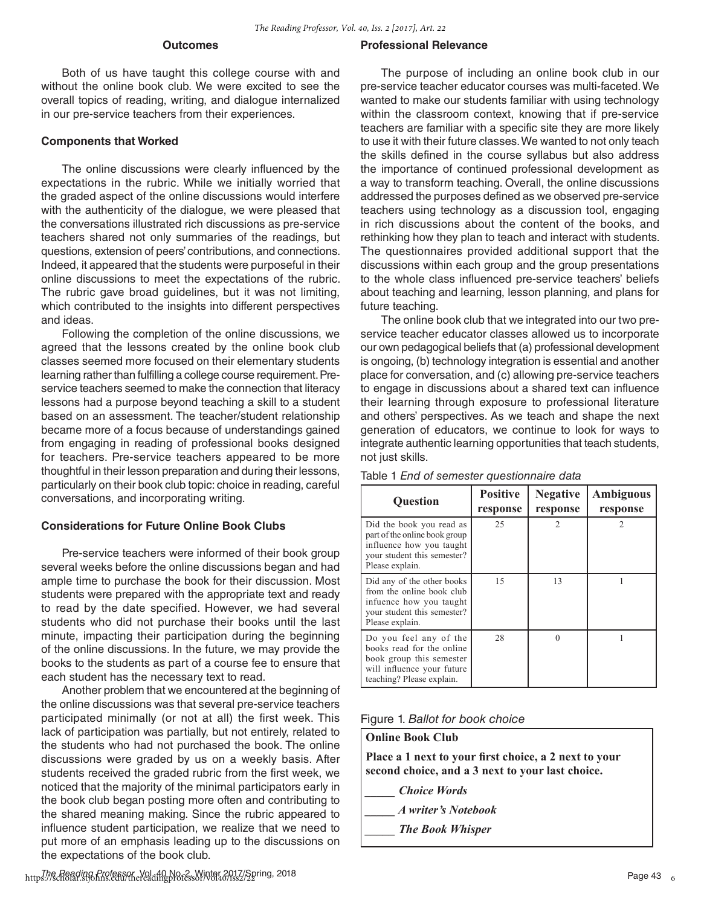#### **Outcomes**

Both of us have taught this college course with and without the online book club. We were excited to see the overall topics of reading, writing, and dialogue internalized in our pre-service teachers from their experiences.

#### **Components that Worked**

The online discussions were clearly influenced by the expectations in the rubric. While we initially worried that the graded aspect of the online discussions would interfere with the authenticity of the dialogue, we were pleased that the conversations illustrated rich discussions as pre-service teachers shared not only summaries of the readings, but questions, extension of peers' contributions, and connections. Indeed, it appeared that the students were purposeful in their online discussions to meet the expectations of the rubric. The rubric gave broad guidelines, but it was not limiting, which contributed to the insights into different perspectives and ideas.

Following the completion of the online discussions, we agreed that the lessons created by the online book club classes seemed more focused on their elementary students learning rather than fulfilling a college course requirement. Preservice teachers seemed to make the connection that literacy lessons had a purpose beyond teaching a skill to a student based on an assessment. The teacher/student relationship became more of a focus because of understandings gained from engaging in reading of professional books designed for teachers. Pre-service teachers appeared to be more thoughtful in their lesson preparation and during their lessons, particularly on their book club topic: choice in reading, careful conversations, and incorporating writing.

#### **Considerations for Future Online Book Clubs**

Pre-service teachers were informed of their book group several weeks before the online discussions began and had ample time to purchase the book for their discussion. Most students were prepared with the appropriate text and ready to read by the date specified. However, we had several students who did not purchase their books until the last minute, impacting their participation during the beginning of the online discussions. In the future, we may provide the books to the students as part of a course fee to ensure that each student has the necessary text to read.

Another problem that we encountered at the beginning of the online discussions was that several pre-service teachers participated minimally (or not at all) the first week. This lack of participation was partially, but not entirely, related to the students who had not purchased the book. The online discussions were graded by us on a weekly basis. After students received the graded rubric from the first week, we noticed that the majority of the minimal participators early in the book club began posting more often and contributing to the shared meaning making. Since the rubric appeared to influence student participation, we realize that we need to put more of an emphasis leading up to the discussions on the expectations of the book club.

#### **Professional Relevance**

The purpose of including an online book club in our pre-service teacher educator courses was multi-faceted. We wanted to make our students familiar with using technology within the classroom context, knowing that if pre-service teachers are familiar with a specific site they are more likely to use it with their future classes. We wanted to not only teach the skills defined in the course syllabus but also address the importance of continued professional development as a way to transform teaching. Overall, the online discussions addressed the purposes defined as we observed pre-service teachers using technology as a discussion tool, engaging in rich discussions about the content of the books, and rethinking how they plan to teach and interact with students. The questionnaires provided additional support that the discussions within each group and the group presentations to the whole class influenced pre-service teachers' beliefs about teaching and learning, lesson planning, and plans for future teaching.

The online book club that we integrated into our two preservice teacher educator classes allowed us to incorporate our own pedagogical beliefs that (a) professional development is ongoing, (b) technology integration is essential and another place for conversation, and (c) allowing pre-service teachers to engage in discussions about a shared text can influence their learning through exposure to professional literature and others' perspectives. As we teach and shape the next generation of educators, we continue to look for ways to integrate authentic learning opportunities that teach students, not just skills.

| <b>Ouestion</b>                                                                                                                            | <b>Positive</b><br>response | <b>Negative</b><br>response | <b>Ambiguous</b><br>response |
|--------------------------------------------------------------------------------------------------------------------------------------------|-----------------------------|-----------------------------|------------------------------|
| Did the book you read as<br>part of the online book group<br>influence how you taught<br>your student this semester?<br>Please explain.    | 25                          | $\mathcal{D}$               | 2                            |
| Did any of the other books<br>from the online book club<br>infuence how you taught<br>your student this semester?<br>Please explain.       | 15                          | 13                          |                              |
| Do you feel any of the<br>books read for the online<br>book group this semester<br>will influence your future<br>teaching? Please explain. | 28                          | $\Omega$                    |                              |

#### Table 1 *End of semester questionnaire data*

Figure 1. *Ballot for book choice*

#### **Online Book Club**

**Place a 1 next to your frst choice, a 2 next to your second choice, and a 3 next to your last choice.**

*\_\_\_\_\_ Choice Words*

- *\_\_\_\_\_ A writer's Notebook*
	- *\_\_\_\_\_ The Book Whisper*